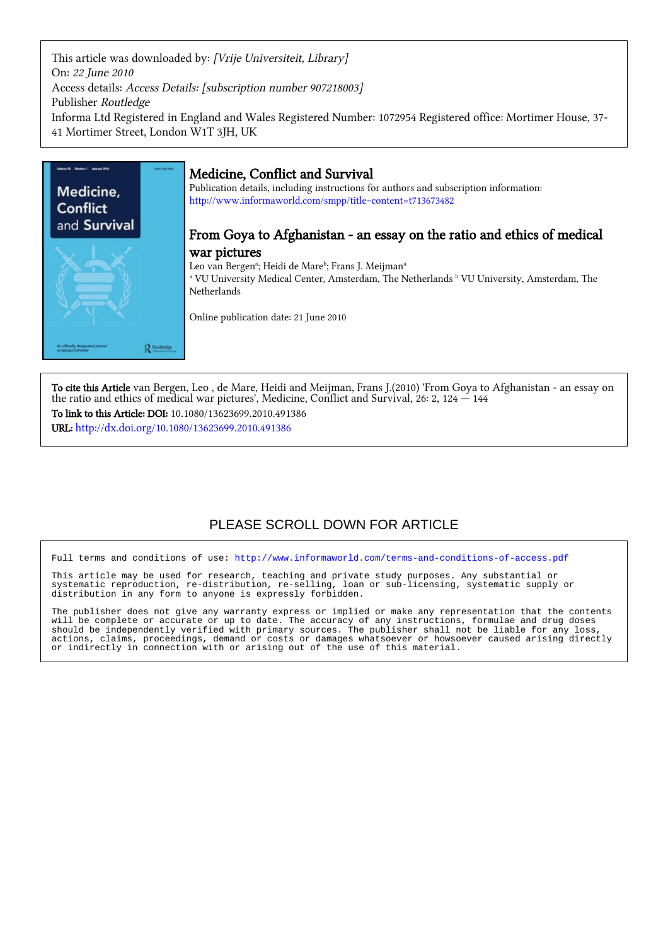This article was downloaded by: [Vrije Universiteit, Library] On: 22 June 2010 Access details: Access Details: [subscription number 907218003] Publisher Routledge Informa Ltd Registered in England and Wales Registered Number: 1072954 Registered office: Mortimer House, 37- 41 Mortimer Street, London W1T 3JH, UK



# Medicine, Conflict and Survival

Publication details, including instructions for authors and subscription information: <http://www.informaworld.com/smpp/title~content=t713673482>

## From Goya to Afghanistan - an essay on the ratio and ethics of medical war pictures

Leo van Bergenª; Heidi de Mareʰ; Frans J. Meijmanª

<sup>a</sup> VU University Medical Center, Amsterdam, The Netherlands <sup>b</sup> VU University, Amsterdam, The Netherlands

Online publication date: 21 June 2010

To cite this Article van Bergen, Leo , de Mare, Heidi and Meijman, Frans J.(2010) 'From Goya to Afghanistan - an essay on the ratio and ethics of medical war pictures', Medicine, Conflict and Survival, 26: 2, 124 — 144 To link to this Article: DOI: 10.1080/13623699.2010.491386

URL: <http://dx.doi.org/10.1080/13623699.2010.491386>

# PLEASE SCROLL DOWN FOR ARTICLE

Full terms and conditions of use:<http://www.informaworld.com/terms-and-conditions-of-access.pdf>

This article may be used for research, teaching and private study purposes. Any substantial or systematic reproduction, re-distribution, re-selling, loan or sub-licensing, systematic supply or distribution in any form to anyone is expressly forbidden.

The publisher does not give any warranty express or implied or make any representation that the contents will be complete or accurate or up to date. The accuracy of any instructions, formulae and drug doses should be independently verified with primary sources. The publisher shall not be liable for any loss, actions, claims, proceedings, demand or costs or damages whatsoever or howsoever caused arising directly or indirectly in connection with or arising out of the use of this material.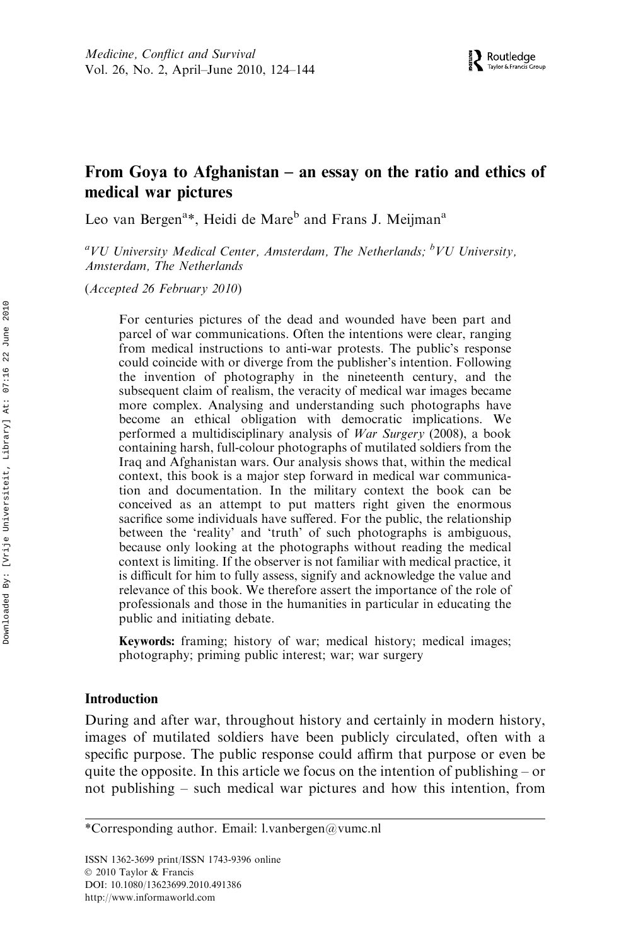## From Goya to Afghanistan – an essay on the ratio and ethics of medical war pictures

Leo van Bergen<sup>a\*</sup>, Heidi de Mare<sup>b</sup> and Frans J. Meijman<sup>a</sup>

 ${}^aVU$  University Medical Center, Amsterdam, The Netherlands;  ${}^bVU$  University, Amsterdam, The Netherlands

(Accepted 26 February 2010)

For centuries pictures of the dead and wounded have been part and parcel of war communications. Often the intentions were clear, ranging from medical instructions to anti-war protests. The public's response could coincide with or diverge from the publisher's intention. Following the invention of photography in the nineteenth century, and the subsequent claim of realism, the veracity of medical war images became more complex. Analysing and understanding such photographs have become an ethical obligation with democratic implications. We performed a multidisciplinary analysis of War Surgery (2008), a book containing harsh, full-colour photographs of mutilated soldiers from the Iraq and Afghanistan wars. Our analysis shows that, within the medical context, this book is a major step forward in medical war communication and documentation. In the military context the book can be conceived as an attempt to put matters right given the enormous sacrifice some individuals have suffered. For the public, the relationship between the 'reality' and 'truth' of such photographs is ambiguous, because only looking at the photographs without reading the medical context is limiting. If the observer is not familiar with medical practice, it is difficult for him to fully assess, signify and acknowledge the value and relevance of this book. We therefore assert the importance of the role of professionals and those in the humanities in particular in educating the public and initiating debate.

Keywords: framing; history of war; medical history; medical images; photography; priming public interest; war; war surgery

#### Introduction

During and after war, throughout history and certainly in modern history, images of mutilated soldiers have been publicly circulated, often with a specific purpose. The public response could affirm that purpose or even be quite the opposite. In this article we focus on the intention of publishing – or not publishing – such medical war pictures and how this intention, from

ISSN 1362-3699 print/ISSN 1743-9396 online © 2010 Taylor & Francis DOI: 10.1080/13623699.2010.491386 http://www.informaworld.com

<sup>\*</sup>Corresponding author. Email: l.vanbergen@vumc.nl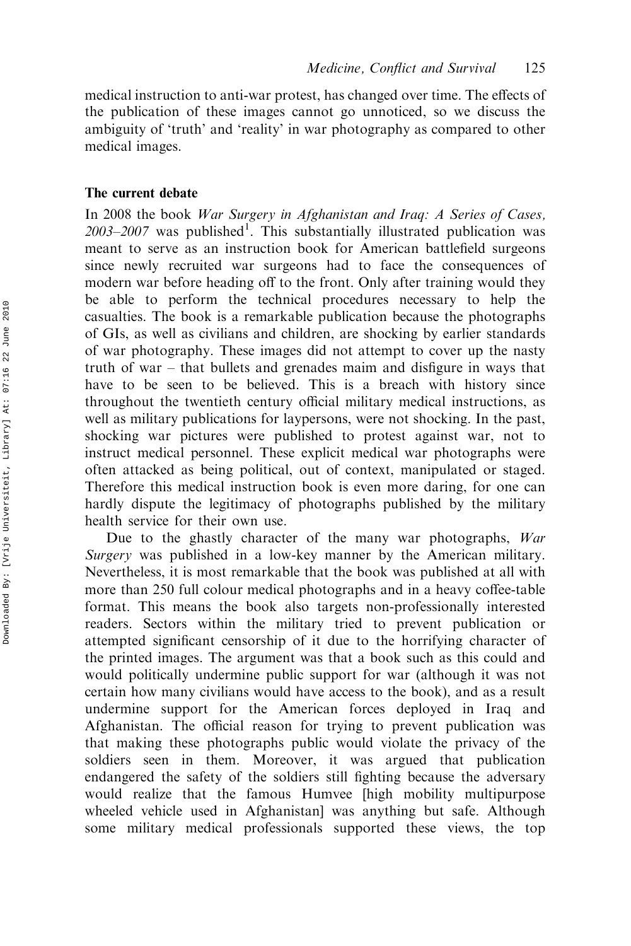medical instruction to anti-war protest, has changed over time. The effects of the publication of these images cannot go unnoticed, so we discuss the ambiguity of 'truth' and 'reality' in war photography as compared to other medical images.

#### The current debate

In 2008 the book War Surgery in Afghanistan and Iraq: A Series of Cases, 2003-2007 was published<sup>1</sup>. This substantially illustrated publication was meant to serve as an instruction book for American battlefield surgeons since newly recruited war surgeons had to face the consequences of modern war before heading off to the front. Only after training would they be able to perform the technical procedures necessary to help the casualties. The book is a remarkable publication because the photographs of GIs, as well as civilians and children, are shocking by earlier standards of war photography. These images did not attempt to cover up the nasty truth of war – that bullets and grenades maim and disfigure in ways that have to be seen to be believed. This is a breach with history since throughout the twentieth century official military medical instructions, as well as military publications for laypersons, were not shocking. In the past, shocking war pictures were published to protest against war, not to instruct medical personnel. These explicit medical war photographs were often attacked as being political, out of context, manipulated or staged. Therefore this medical instruction book is even more daring, for one can hardly dispute the legitimacy of photographs published by the military health service for their own use.

Due to the ghastly character of the many war photographs, War Surgery was published in a low-key manner by the American military. Nevertheless, it is most remarkable that the book was published at all with more than 250 full colour medical photographs and in a heavy coffee-table format. This means the book also targets non-professionally interested readers. Sectors within the military tried to prevent publication or attempted significant censorship of it due to the horrifying character of the printed images. The argument was that a book such as this could and would politically undermine public support for war (although it was not certain how many civilians would have access to the book), and as a result undermine support for the American forces deployed in Iraq and Afghanistan. The official reason for trying to prevent publication was that making these photographs public would violate the privacy of the soldiers seen in them. Moreover, it was argued that publication endangered the safety of the soldiers still fighting because the adversary would realize that the famous Humvee [high mobility multipurpose wheeled vehicle used in Afghanistan] was anything but safe. Although some military medical professionals supported these views, the top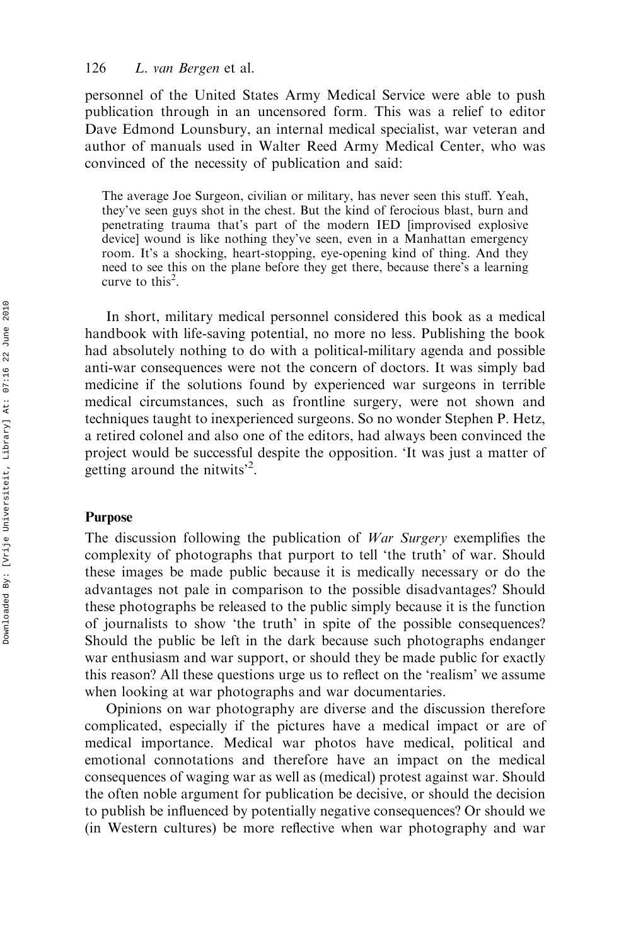#### 126 L. van Bergen et al.

personnel of the United States Army Medical Service were able to push publication through in an uncensored form. This was a relief to editor Dave Edmond Lounsbury, an internal medical specialist, war veteran and author of manuals used in Walter Reed Army Medical Center, who was convinced of the necessity of publication and said:

The average Joe Surgeon, civilian or military, has never seen this stuff. Yeah, they've seen guys shot in the chest. But the kind of ferocious blast, burn and penetrating trauma that's part of the modern IED [improvised explosive device] wound is like nothing they've seen, even in a Manhattan emergency room. It's a shocking, heart-stopping, eye-opening kind of thing. And they need to see this on the plane before they get there, because there's a learning curve to this<sup>2</sup>.

In short, military medical personnel considered this book as a medical handbook with life-saving potential, no more no less. Publishing the book had absolutely nothing to do with a political-military agenda and possible anti-war consequences were not the concern of doctors. It was simply bad medicine if the solutions found by experienced war surgeons in terrible medical circumstances, such as frontline surgery, were not shown and techniques taught to inexperienced surgeons. So no wonder Stephen P. Hetz, a retired colonel and also one of the editors, had always been convinced the project would be successful despite the opposition. 'It was just a matter of getting around the nitwits<sup>2</sup>.

#### Purpose

The discussion following the publication of *War Surgery* exemplifies the complexity of photographs that purport to tell 'the truth' of war. Should these images be made public because it is medically necessary or do the advantages not pale in comparison to the possible disadvantages? Should these photographs be released to the public simply because it is the function of journalists to show 'the truth' in spite of the possible consequences? Should the public be left in the dark because such photographs endanger war enthusiasm and war support, or should they be made public for exactly this reason? All these questions urge us to reflect on the 'realism' we assume when looking at war photographs and war documentaries.

Opinions on war photography are diverse and the discussion therefore complicated, especially if the pictures have a medical impact or are of medical importance. Medical war photos have medical, political and emotional connotations and therefore have an impact on the medical consequences of waging war as well as (medical) protest against war. Should the often noble argument for publication be decisive, or should the decision to publish be influenced by potentially negative consequences? Or should we (in Western cultures) be more reflective when war photography and war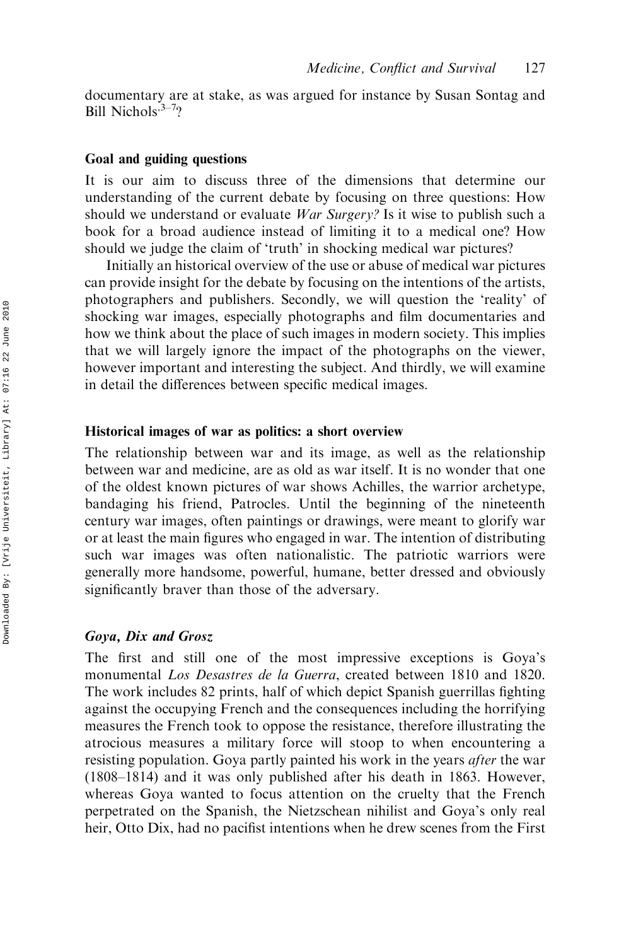documentary are at stake, as was argued for instance by Susan Sontag and Bill Nichols, 3–7?

#### Goal and guiding questions

It is our aim to discuss three of the dimensions that determine our understanding of the current debate by focusing on three questions: How should we understand or evaluate *War Surgery?* Is it wise to publish such a book for a broad audience instead of limiting it to a medical one? How should we judge the claim of 'truth' in shocking medical war pictures?

Initially an historical overview of the use or abuse of medical war pictures can provide insight for the debate by focusing on the intentions of the artists, photographers and publishers. Secondly, we will question the 'reality' of shocking war images, especially photographs and film documentaries and how we think about the place of such images in modern society. This implies that we will largely ignore the impact of the photographs on the viewer, however important and interesting the subject. And thirdly, we will examine in detail the differences between specific medical images.

#### Historical images of war as politics: a short overview

The relationship between war and its image, as well as the relationship between war and medicine, are as old as war itself. It is no wonder that one of the oldest known pictures of war shows Achilles, the warrior archetype, bandaging his friend, Patrocles. Until the beginning of the nineteenth century war images, often paintings or drawings, were meant to glorify war or at least the main figures who engaged in war. The intention of distributing such war images was often nationalistic. The patriotic warriors were generally more handsome, powerful, humane, better dressed and obviously significantly braver than those of the adversary.

#### Goya, Dix and Grosz

The first and still one of the most impressive exceptions is Goya's monumental Los Desastres de la Guerra, created between 1810 and 1820. The work includes 82 prints, half of which depict Spanish guerrillas fighting against the occupying French and the consequences including the horrifying measures the French took to oppose the resistance, therefore illustrating the atrocious measures a military force will stoop to when encountering a resisting population. Goya partly painted his work in the years *after* the war (1808–1814) and it was only published after his death in 1863. However, whereas Goya wanted to focus attention on the cruelty that the French perpetrated on the Spanish, the Nietzschean nihilist and Goya's only real heir, Otto Dix, had no pacifist intentions when he drew scenes from the First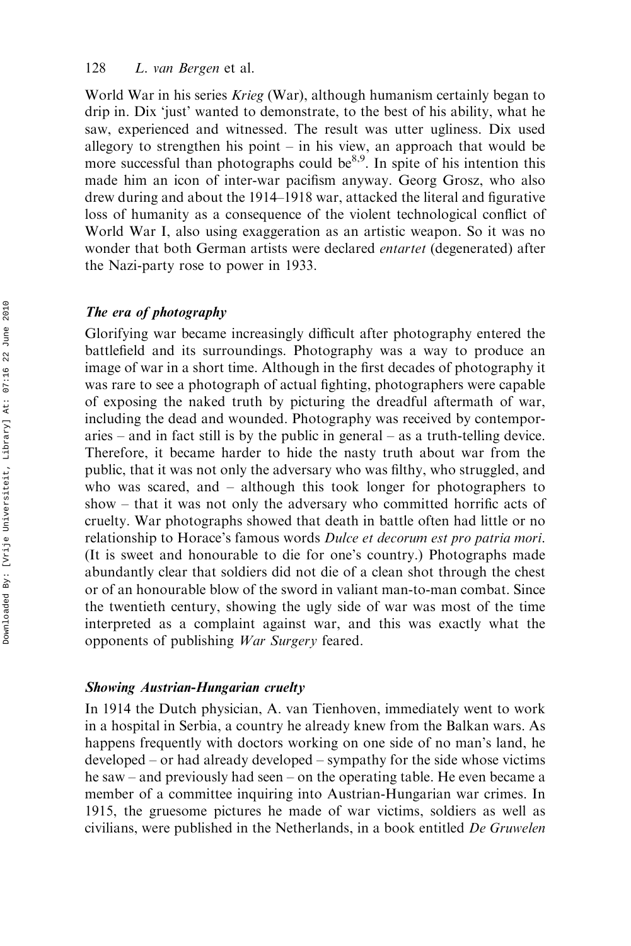#### 128 L. van Bergen et al.

World War in his series *Krieg* (War), although humanism certainly began to drip in. Dix 'just' wanted to demonstrate, to the best of his ability, what he saw, experienced and witnessed. The result was utter ugliness. Dix used allegory to strengthen his point  $-$  in his view, an approach that would be more successful than photographs could be $8,9$ . In spite of his intention this made him an icon of inter-war pacifism anyway. Georg Grosz, who also drew during and about the 1914–1918 war, attacked the literal and figurative loss of humanity as a consequence of the violent technological conflict of World War I, also using exaggeration as an artistic weapon. So it was no wonder that both German artists were declared *entartet* (degenerated) after the Nazi-party rose to power in 1933.

#### The era of photography

Glorifying war became increasingly difficult after photography entered the battlefield and its surroundings. Photography was a way to produce an image of war in a short time. Although in the first decades of photography it was rare to see a photograph of actual fighting, photographers were capable of exposing the naked truth by picturing the dreadful aftermath of war, including the dead and wounded. Photography was received by contemporaries – and in fact still is by the public in general – as a truth-telling device. Therefore, it became harder to hide the nasty truth about war from the public, that it was not only the adversary who was filthy, who struggled, and who was scared, and – although this took longer for photographers to show – that it was not only the adversary who committed horrific acts of cruelty. War photographs showed that death in battle often had little or no relationship to Horace's famous words Dulce et decorum est pro patria mori. (It is sweet and honourable to die for one's country.) Photographs made abundantly clear that soldiers did not die of a clean shot through the chest or of an honourable blow of the sword in valiant man-to-man combat. Since the twentieth century, showing the ugly side of war was most of the time interpreted as a complaint against war, and this was exactly what the opponents of publishing War Surgery feared.

#### Showing Austrian-Hungarian cruelty

In 1914 the Dutch physician, A. van Tienhoven, immediately went to work in a hospital in Serbia, a country he already knew from the Balkan wars. As happens frequently with doctors working on one side of no man's land, he developed – or had already developed – sympathy for the side whose victims he saw – and previously had seen – on the operating table. He even became a member of a committee inquiring into Austrian-Hungarian war crimes. In 1915, the gruesome pictures he made of war victims, soldiers as well as civilians, were published in the Netherlands, in a book entitled De Gruwelen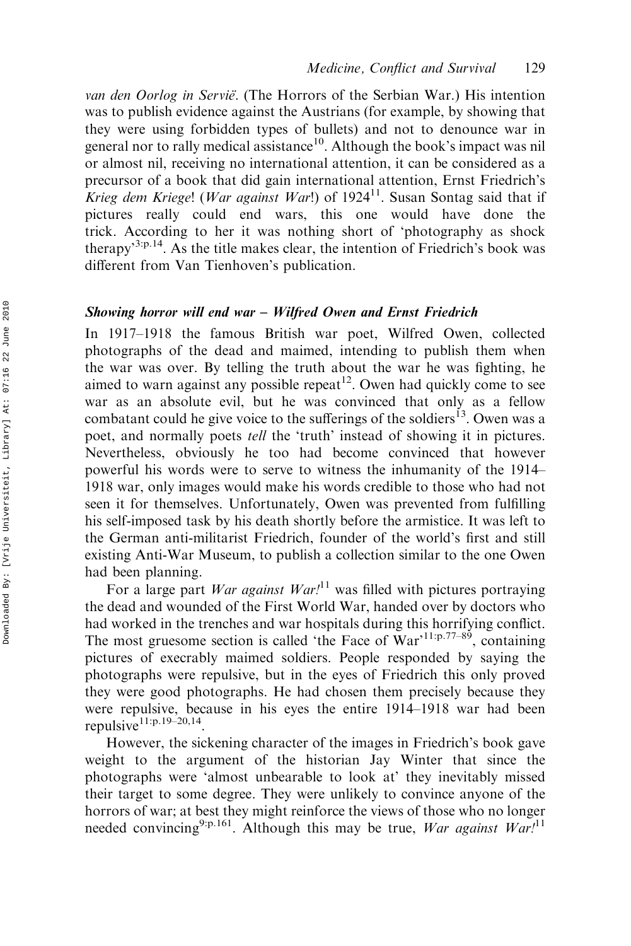van den Oorlog in Servië. (The Horrors of the Serbian War.) His intention was to publish evidence against the Austrians (for example, by showing that they were using forbidden types of bullets) and not to denounce war in general nor to rally medical assistance<sup>10</sup>. Although the book's impact was nil or almost nil, receiving no international attention, it can be considered as a precursor of a book that did gain international attention, Ernst Friedrich's Krieg dem Kriege! (War against War!) of 1924<sup>11</sup>. Susan Sontag said that if pictures really could end wars, this one would have done the trick. According to her it was nothing short of 'photography as shock therapy<sup>3:p.14</sup>. As the title makes clear, the intention of Friedrich's book was different from Van Tienhoven's publication.

#### Showing horror will end war – Wilfred Owen and Ernst Friedrich

In 1917–1918 the famous British war poet, Wilfred Owen, collected photographs of the dead and maimed, intending to publish them when the war was over. By telling the truth about the war he was fighting, he aimed to warn against any possible repeat<sup>12</sup>. Owen had quickly come to see war as an absolute evil, but he was convinced that only as a fellow combatant could he give voice to the sufferings of the soldiers<sup>13</sup>. Owen was a poet, and normally poets tell the 'truth' instead of showing it in pictures. Nevertheless, obviously he too had become convinced that however powerful his words were to serve to witness the inhumanity of the 1914– 1918 war, only images would make his words credible to those who had not seen it for themselves. Unfortunately, Owen was prevented from fulfilling his self-imposed task by his death shortly before the armistice. It was left to the German anti-militarist Friedrich, founder of the world's first and still existing Anti-War Museum, to publish a collection similar to the one Owen had been planning.

For a large part *War against War!*<sup>11</sup> was filled with pictures portraying the dead and wounded of the First World War, handed over by doctors who had worked in the trenches and war hospitals during this horrifying conflict. The most gruesome section is called 'the Face of  $War$ <sup>11:p.77–89</sup>, containing pictures of execrably maimed soldiers. People responded by saying the photographs were repulsive, but in the eyes of Friedrich this only proved they were good photographs. He had chosen them precisely because they were repulsive, because in his eyes the entire 1914–1918 war had been repulsive $11:p.19-20,14$ .

However, the sickening character of the images in Friedrich's book gave weight to the argument of the historian Jay Winter that since the photographs were 'almost unbearable to look at' they inevitably missed their target to some degree. They were unlikely to convince anyone of the horrors of war; at best they might reinforce the views of those who no longer needed convincing<sup>9:p.161</sup>. Although this may be true, War against War!<sup>11</sup>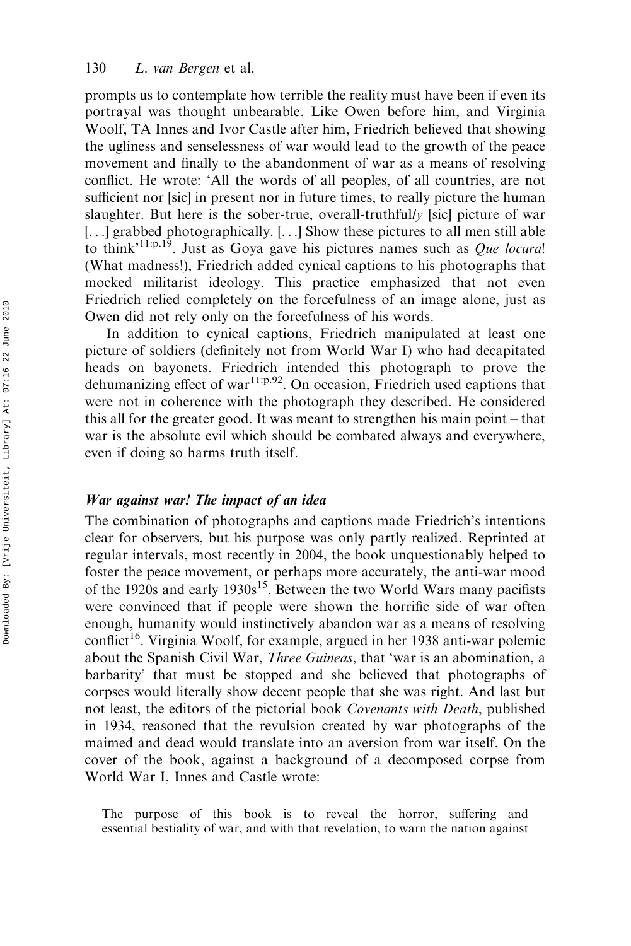prompts us to contemplate how terrible the reality must have been if even its portrayal was thought unbearable. Like Owen before him, and Virginia Woolf, TA Innes and Ivor Castle after him, Friedrich believed that showing the ugliness and senselessness of war would lead to the growth of the peace movement and finally to the abandonment of war as a means of resolving conflict. He wrote: 'All the words of all peoples, of all countries, are not sufficient nor [sic] in present nor in future times, to really picture the human slaughter. But here is the sober-true, overall-truthfully [sic] picture of war [...] grabbed photographically. [...] Show these pictures to all men still able to think<sup>'11:p.19</sup>. Just as Goya gave his pictures names such as *Que locura*! (What madness!), Friedrich added cynical captions to his photographs that mocked militarist ideology. This practice emphasized that not even Friedrich relied completely on the forcefulness of an image alone, just as Owen did not rely only on the forcefulness of his words.

In addition to cynical captions, Friedrich manipulated at least one picture of soldiers (definitely not from World War I) who had decapitated heads on bayonets. Friedrich intended this photograph to prove the dehumanizing effect of war<sup>11:p.92</sup>. On occasion, Friedrich used captions that were not in coherence with the photograph they described. He considered this all for the greater good. It was meant to strengthen his main point – that war is the absolute evil which should be combated always and everywhere, even if doing so harms truth itself.

#### War against war! The impact of an idea

The combination of photographs and captions made Friedrich's intentions clear for observers, but his purpose was only partly realized. Reprinted at regular intervals, most recently in 2004, the book unquestionably helped to foster the peace movement, or perhaps more accurately, the anti-war mood of the 1920s and early 1930s<sup>15</sup>. Between the two World Wars many pacifists were convinced that if people were shown the horrific side of war often enough, humanity would instinctively abandon war as a means of resolving conflict<sup>16</sup>. Virginia Woolf, for example, argued in her 1938 anti-war polemic about the Spanish Civil War, *Three Guineas*, that 'war is an abomination, a barbarity' that must be stopped and she believed that photographs of corpses would literally show decent people that she was right. And last but not least, the editors of the pictorial book Covenants with Death, published in 1934, reasoned that the revulsion created by war photographs of the maimed and dead would translate into an aversion from war itself. On the cover of the book, against a background of a decomposed corpse from World War I, Innes and Castle wrote:

The purpose of this book is to reveal the horror, suffering and essential bestiality of war, and with that revelation, to warn the nation against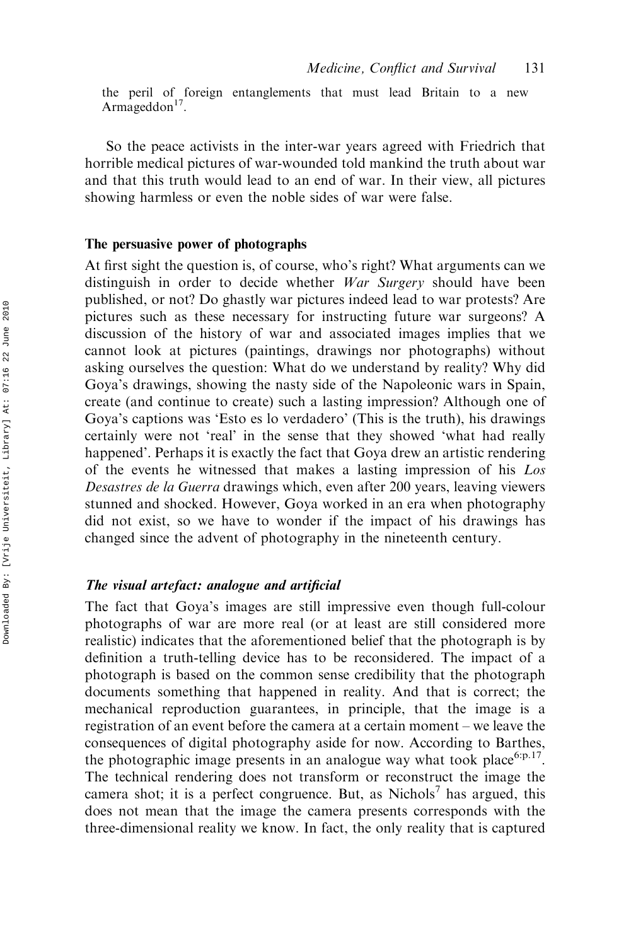the peril of foreign entanglements that must lead Britain to a new Armageddon $17$ .

So the peace activists in the inter-war years agreed with Friedrich that horrible medical pictures of war-wounded told mankind the truth about war and that this truth would lead to an end of war. In their view, all pictures showing harmless or even the noble sides of war were false.

#### The persuasive power of photographs

At first sight the question is, of course, who's right? What arguments can we distinguish in order to decide whether War Surgery should have been published, or not? Do ghastly war pictures indeed lead to war protests? Are pictures such as these necessary for instructing future war surgeons? A discussion of the history of war and associated images implies that we cannot look at pictures (paintings, drawings nor photographs) without asking ourselves the question: What do we understand by reality? Why did Goya's drawings, showing the nasty side of the Napoleonic wars in Spain, create (and continue to create) such a lasting impression? Although one of Goya's captions was 'Esto es lo verdadero' (This is the truth), his drawings certainly were not 'real' in the sense that they showed 'what had really happened'. Perhaps it is exactly the fact that Goya drew an artistic rendering of the events he witnessed that makes a lasting impression of his Los Desastres de la Guerra drawings which, even after 200 years, leaving viewers stunned and shocked. However, Goya worked in an era when photography did not exist, so we have to wonder if the impact of his drawings has changed since the advent of photography in the nineteenth century.

#### The visual artefact: analogue and artificial

The fact that Goya's images are still impressive even though full-colour photographs of war are more real (or at least are still considered more realistic) indicates that the aforementioned belief that the photograph is by definition a truth-telling device has to be reconsidered. The impact of a photograph is based on the common sense credibility that the photograph documents something that happened in reality. And that is correct; the mechanical reproduction guarantees, in principle, that the image is a registration of an event before the camera at a certain moment – we leave the consequences of digital photography aside for now. According to Barthes, the photographic image presents in an analogue way what took place<sup>6:p.17</sup>. The technical rendering does not transform or reconstruct the image the camera shot; it is a perfect congruence. But, as Nichols<sup>7</sup> has argued, this does not mean that the image the camera presents corresponds with the three-dimensional reality we know. In fact, the only reality that is captured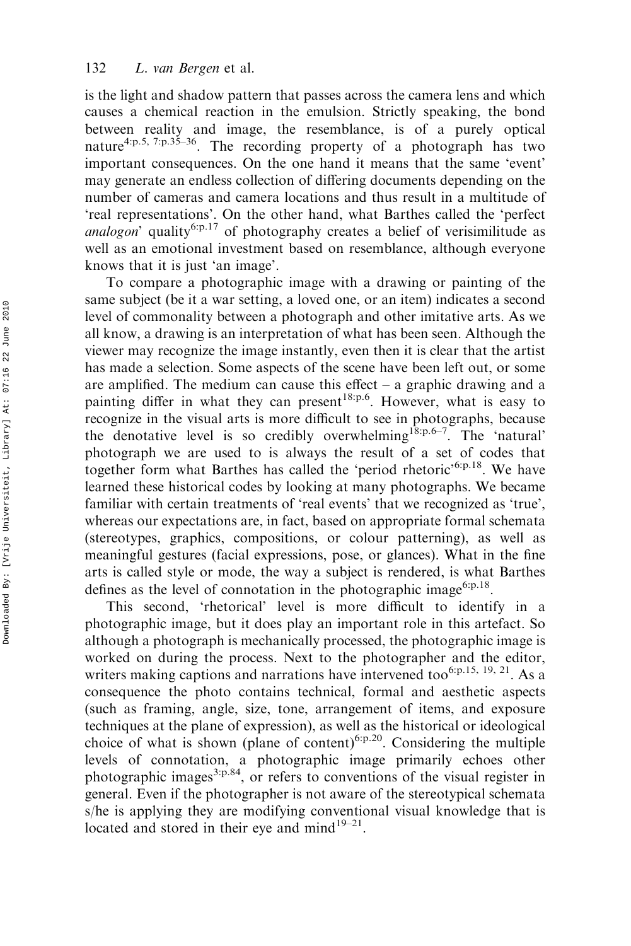is the light and shadow pattern that passes across the camera lens and which causes a chemical reaction in the emulsion. Strictly speaking, the bond between reality and image, the resemblance, is of a purely optical nature4:p.5, 7:p.35–36. The recording property of a photograph has two important consequences. On the one hand it means that the same 'event' may generate an endless collection of differing documents depending on the number of cameras and camera locations and thus result in a multitude of 'real representations'. On the other hand, what Barthes called the 'perfect analogon' quality<sup>6:p.17</sup> of photography creates a belief of verisimilitude as well as an emotional investment based on resemblance, although everyone knows that it is just 'an image'.

To compare a photographic image with a drawing or painting of the same subject (be it a war setting, a loved one, or an item) indicates a second level of commonality between a photograph and other imitative arts. As we all know, a drawing is an interpretation of what has been seen. Although the viewer may recognize the image instantly, even then it is clear that the artist has made a selection. Some aspects of the scene have been left out, or some are amplified. The medium can cause this effect  $-$  a graphic drawing and a painting differ in what they can present  $18:p.6$ . However, what is easy to recognize in the visual arts is more difficult to see in photographs, because the denotative level is so credibly overwhelming18:p.6–7. The 'natural' photograph we are used to is always the result of a set of codes that together form what Barthes has called the 'period rhetoric'<sup>6:p.18</sup>. We have learned these historical codes by looking at many photographs. We became familiar with certain treatments of 'real events' that we recognized as 'true', whereas our expectations are, in fact, based on appropriate formal schemata (stereotypes, graphics, compositions, or colour patterning), as well as meaningful gestures (facial expressions, pose, or glances). What in the fine arts is called style or mode, the way a subject is rendered, is what Barthes defines as the level of connotation in the photographic image<sup>6:p.18</sup>.

This second, 'rhetorical' level is more difficult to identify in a photographic image, but it does play an important role in this artefact. So although a photograph is mechanically processed, the photographic image is worked on during the process. Next to the photographer and the editor, writers making captions and narrations have intervened too<sup>6:p.15, 19, 21</sup>. As a consequence the photo contains technical, formal and aesthetic aspects (such as framing, angle, size, tone, arrangement of items, and exposure techniques at the plane of expression), as well as the historical or ideological choice of what is shown (plane of content)<sup>6:p.20</sup>. Considering the multiple levels of connotation, a photographic image primarily echoes other photographic images<sup>3:p.84</sup>, or refers to conventions of the visual register in general. Even if the photographer is not aware of the stereotypical schemata s/he is applying they are modifying conventional visual knowledge that is located and stored in their eye and mind<sup>19–21</sup>.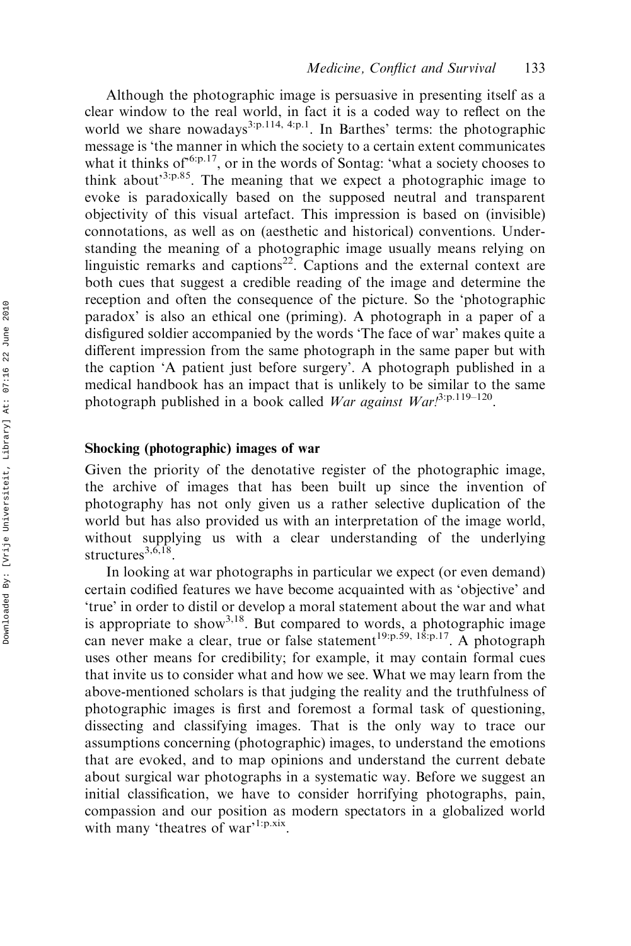Although the photographic image is persuasive in presenting itself as a clear window to the real world, in fact it is a coded way to reflect on the world we share nowadays<sup>3:p.114, 4:p.1</sup>. In Barthes' terms: the photographic message is 'the manner in which the society to a certain extent communicates what it thinks of  $6.5$ .<sup>17</sup>, or in the words of Sontag: 'what a society chooses to think about<sup>3:p.85</sup>. The meaning that we expect a photographic image to evoke is paradoxically based on the supposed neutral and transparent objectivity of this visual artefact. This impression is based on (invisible) connotations, as well as on (aesthetic and historical) conventions. Understanding the meaning of a photographic image usually means relying on linguistic remarks and captions<sup>22</sup>. Captions and the external context are both cues that suggest a credible reading of the image and determine the reception and often the consequence of the picture. So the 'photographic paradox' is also an ethical one (priming). A photograph in a paper of a disfigured soldier accompanied by the words 'The face of war' makes quite a different impression from the same photograph in the same paper but with the caption 'A patient just before surgery'. A photograph published in a medical handbook has an impact that is unlikely to be similar to the same photograph published in a book called War against War!<sup>3:p.119-120</sup>.

#### Shocking (photographic) images of war

Given the priority of the denotative register of the photographic image, the archive of images that has been built up since the invention of photography has not only given us a rather selective duplication of the world but has also provided us with an interpretation of the image world, without supplying us with a clear understanding of the underlying structures $^{3,6,18}$ 

In looking at war photographs in particular we expect (or even demand) certain codified features we have become acquainted with as 'objective' and 'true' in order to distil or develop a moral statement about the war and what is appropriate to show<sup>3,18</sup>. But compared to words, a photographic image can never make a clear, true or false statement<sup>19:p.59, 18:p.17</sup>. A photograph uses other means for credibility; for example, it may contain formal cues that invite us to consider what and how we see. What we may learn from the above-mentioned scholars is that judging the reality and the truthfulness of photographic images is first and foremost a formal task of questioning, dissecting and classifying images. That is the only way to trace our assumptions concerning (photographic) images, to understand the emotions that are evoked, and to map opinions and understand the current debate about surgical war photographs in a systematic way. Before we suggest an initial classification, we have to consider horrifying photographs, pain, compassion and our position as modern spectators in a globalized world with many 'theatres of war'<sup>1:p.xix</sup>.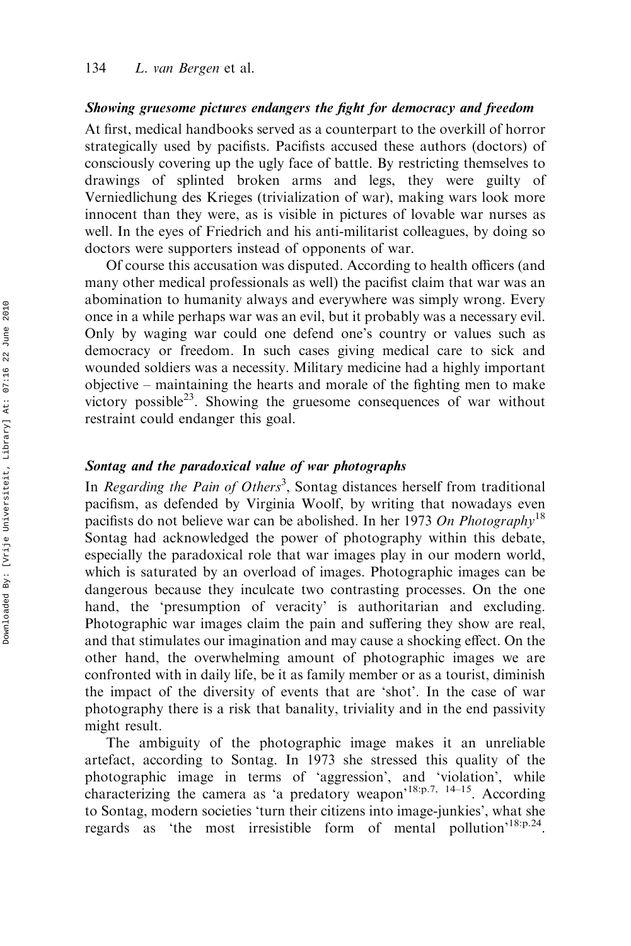#### Showing gruesome pictures endangers the fight for democracy and freedom

At first, medical handbooks served as a counterpart to the overkill of horror strategically used by pacifists. Pacifists accused these authors (doctors) of consciously covering up the ugly face of battle. By restricting themselves to drawings of splinted broken arms and legs, they were guilty of Verniedlichung des Krieges (trivialization of war), making wars look more innocent than they were, as is visible in pictures of lovable war nurses as well. In the eyes of Friedrich and his anti-militarist colleagues, by doing so doctors were supporters instead of opponents of war.

Of course this accusation was disputed. According to health officers (and many other medical professionals as well) the pacifist claim that war was an abomination to humanity always and everywhere was simply wrong. Every once in a while perhaps war was an evil, but it probably was a necessary evil. Only by waging war could one defend one's country or values such as democracy or freedom. In such cases giving medical care to sick and wounded soldiers was a necessity. Military medicine had a highly important objective – maintaining the hearts and morale of the fighting men to make victory possible<sup>23</sup>. Showing the gruesome consequences of war without restraint could endanger this goal.

### Sontag and the paradoxical value of war photographs

In *Regarding the Pain of Others*<sup>3</sup>, Sontag distances herself from traditional pacifism, as defended by Virginia Woolf, by writing that nowadays even pacifists do not believe war can be abolished. In her 1973 On Photography<sup>18</sup> Sontag had acknowledged the power of photography within this debate, especially the paradoxical role that war images play in our modern world, which is saturated by an overload of images. Photographic images can be dangerous because they inculcate two contrasting processes. On the one hand, the 'presumption of veracity' is authoritarian and excluding. Photographic war images claim the pain and suffering they show are real, and that stimulates our imagination and may cause a shocking effect. On the other hand, the overwhelming amount of photographic images we are confronted with in daily life, be it as family member or as a tourist, diminish the impact of the diversity of events that are 'shot'. In the case of war photography there is a risk that banality, triviality and in the end passivity might result.

The ambiguity of the photographic image makes it an unreliable artefact, according to Sontag. In 1973 she stressed this quality of the photographic image in terms of 'aggression', and 'violation', while characterizing the camera as 'a predatory weapon'18:p.7, 14–15. According to Sontag, modern societies 'turn their citizens into image-junkies', what she regards as 'the most irresistible form of mental pollution'18:p.24.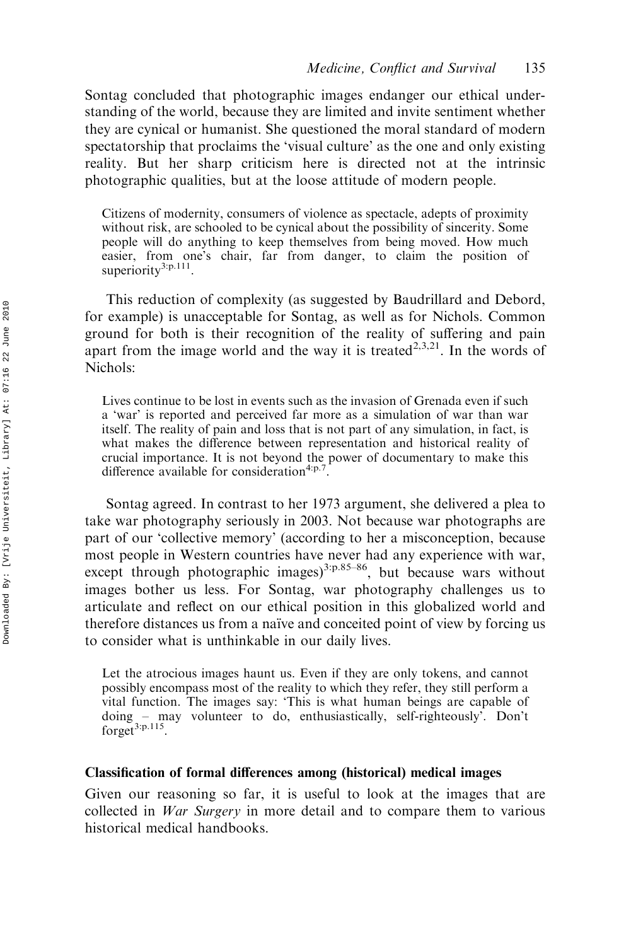Sontag concluded that photographic images endanger our ethical understanding of the world, because they are limited and invite sentiment whether they are cynical or humanist. She questioned the moral standard of modern spectatorship that proclaims the 'visual culture' as the one and only existing reality. But her sharp criticism here is directed not at the intrinsic photographic qualities, but at the loose attitude of modern people.

Citizens of modernity, consumers of violence as spectacle, adepts of proximity without risk, are schooled to be cynical about the possibility of sincerity. Some people will do anything to keep themselves from being moved. How much easier, from one's chair, far from danger, to claim the position of superiority<sup>3:p.111</sup>

This reduction of complexity (as suggested by Baudrillard and Debord, for example) is unacceptable for Sontag, as well as for Nichols. Common ground for both is their recognition of the reality of suffering and pain apart from the image world and the way it is treated<sup>2,3,21</sup>. In the words of Nichols:

Lives continue to be lost in events such as the invasion of Grenada even if such a 'war' is reported and perceived far more as a simulation of war than war itself. The reality of pain and loss that is not part of any simulation, in fact, is what makes the difference between representation and historical reality of crucial importance. It is not beyond the power of documentary to make this difference available for consideration<sup>4:p.7</sup>

Sontag agreed. In contrast to her 1973 argument, she delivered a plea to take war photography seriously in 2003. Not because war photographs are part of our 'collective memory' (according to her a misconception, because most people in Western countries have never had any experience with war, except through photographic images)<sup>3:p.85–86</sup>, but because wars without images bother us less. For Sontag, war photography challenges us to articulate and reflect on our ethical position in this globalized world and therefore distances us from a naïve and conceited point of view by forcing us to consider what is unthinkable in our daily lives.

Let the atrocious images haunt us. Even if they are only tokens, and cannot possibly encompass most of the reality to which they refer, they still perform a vital function. The images say: 'This is what human beings are capable of doing – may volunteer to do, enthusiastically, self-righteously'. Don't forget<sup>3:p.115</sup>.

#### Classification of formal differences among (historical) medical images

Given our reasoning so far, it is useful to look at the images that are collected in War Surgery in more detail and to compare them to various historical medical handbooks.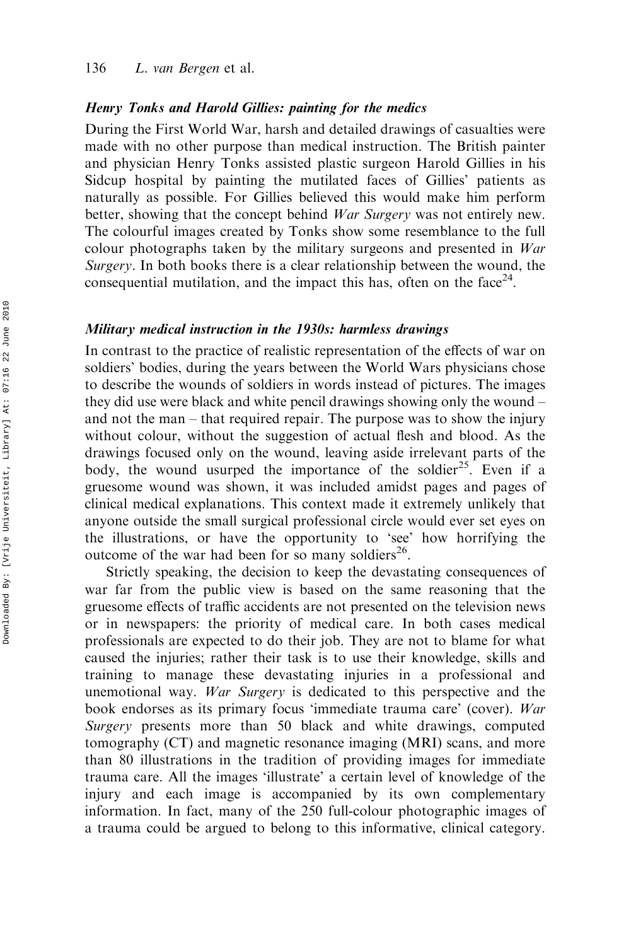#### Henry Tonks and Harold Gillies: painting for the medics

During the First World War, harsh and detailed drawings of casualties were made with no other purpose than medical instruction. The British painter and physician Henry Tonks assisted plastic surgeon Harold Gillies in his Sidcup hospital by painting the mutilated faces of Gillies' patients as naturally as possible. For Gillies believed this would make him perform better, showing that the concept behind *War Surgery* was not entirely new. The colourful images created by Tonks show some resemblance to the full colour photographs taken by the military surgeons and presented in War Surgery. In both books there is a clear relationship between the wound, the consequential mutilation, and the impact this has, often on the face<sup>24</sup>.

#### Military medical instruction in the 1930s: harmless drawings

In contrast to the practice of realistic representation of the effects of war on soldiers' bodies, during the years between the World Wars physicians chose to describe the wounds of soldiers in words instead of pictures. The images they did use were black and white pencil drawings showing only the wound – and not the man – that required repair. The purpose was to show the injury without colour, without the suggestion of actual flesh and blood. As the drawings focused only on the wound, leaving aside irrelevant parts of the body, the wound usurped the importance of the soldier<sup>25</sup>. Even if a gruesome wound was shown, it was included amidst pages and pages of clinical medical explanations. This context made it extremely unlikely that anyone outside the small surgical professional circle would ever set eyes on the illustrations, or have the opportunity to 'see' how horrifying the outcome of the war had been for so many soldiers<sup>26</sup>.

Strictly speaking, the decision to keep the devastating consequences of war far from the public view is based on the same reasoning that the gruesome effects of traffic accidents are not presented on the television news or in newspapers: the priority of medical care. In both cases medical professionals are expected to do their job. They are not to blame for what caused the injuries; rather their task is to use their knowledge, skills and training to manage these devastating injuries in a professional and unemotional way. War Surgery is dedicated to this perspective and the book endorses as its primary focus 'immediate trauma care' (cover). War Surgery presents more than 50 black and white drawings, computed tomography (CT) and magnetic resonance imaging (MRI) scans, and more than 80 illustrations in the tradition of providing images for immediate trauma care. All the images 'illustrate' a certain level of knowledge of the injury and each image is accompanied by its own complementary information. In fact, many of the 250 full-colour photographic images of a trauma could be argued to belong to this informative, clinical category.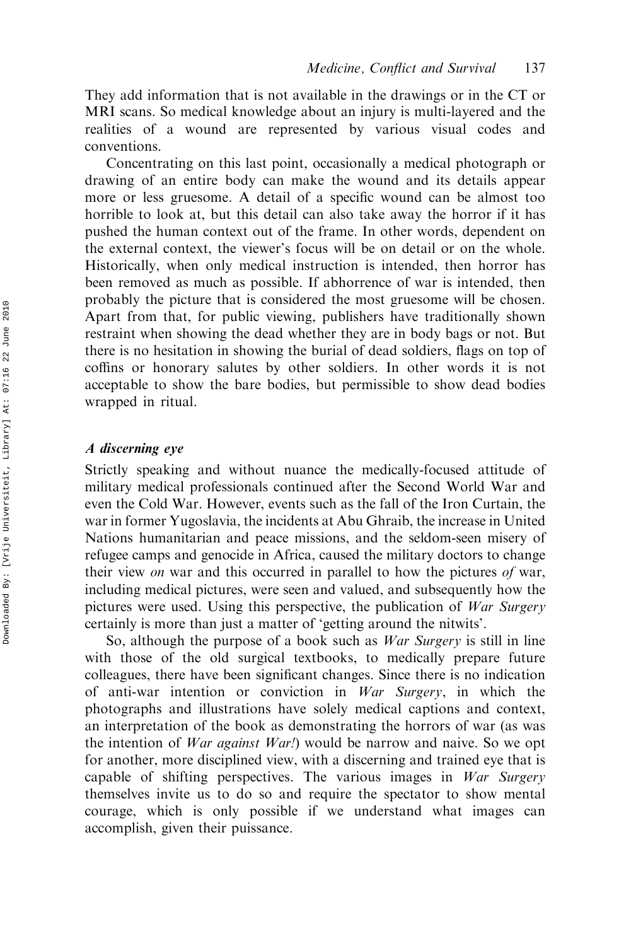They add information that is not available in the drawings or in the CT or MRI scans. So medical knowledge about an injury is multi-layered and the realities of a wound are represented by various visual codes and conventions.

Concentrating on this last point, occasionally a medical photograph or drawing of an entire body can make the wound and its details appear more or less gruesome. A detail of a specific wound can be almost too horrible to look at, but this detail can also take away the horror if it has pushed the human context out of the frame. In other words, dependent on the external context, the viewer's focus will be on detail or on the whole. Historically, when only medical instruction is intended, then horror has been removed as much as possible. If abhorrence of war is intended, then probably the picture that is considered the most gruesome will be chosen. Apart from that, for public viewing, publishers have traditionally shown restraint when showing the dead whether they are in body bags or not. But there is no hesitation in showing the burial of dead soldiers, flags on top of coffins or honorary salutes by other soldiers. In other words it is not acceptable to show the bare bodies, but permissible to show dead bodies wrapped in ritual.

#### A discerning eye

Strictly speaking and without nuance the medically-focused attitude of military medical professionals continued after the Second World War and even the Cold War. However, events such as the fall of the Iron Curtain, the war in former Yugoslavia, the incidents at Abu Ghraib, the increase in United Nations humanitarian and peace missions, and the seldom-seen misery of refugee camps and genocide in Africa, caused the military doctors to change their view on war and this occurred in parallel to how the pictures of war, including medical pictures, were seen and valued, and subsequently how the pictures were used. Using this perspective, the publication of War Surgery certainly is more than just a matter of 'getting around the nitwits'.

So, although the purpose of a book such as *War Surgery* is still in line with those of the old surgical textbooks, to medically prepare future colleagues, there have been significant changes. Since there is no indication of anti-war intention or conviction in War Surgery, in which the photographs and illustrations have solely medical captions and context, an interpretation of the book as demonstrating the horrors of war (as was the intention of *War against War!*) would be narrow and naive. So we opt for another, more disciplined view, with a discerning and trained eye that is capable of shifting perspectives. The various images in War Surgery themselves invite us to do so and require the spectator to show mental courage, which is only possible if we understand what images can accomplish, given their puissance.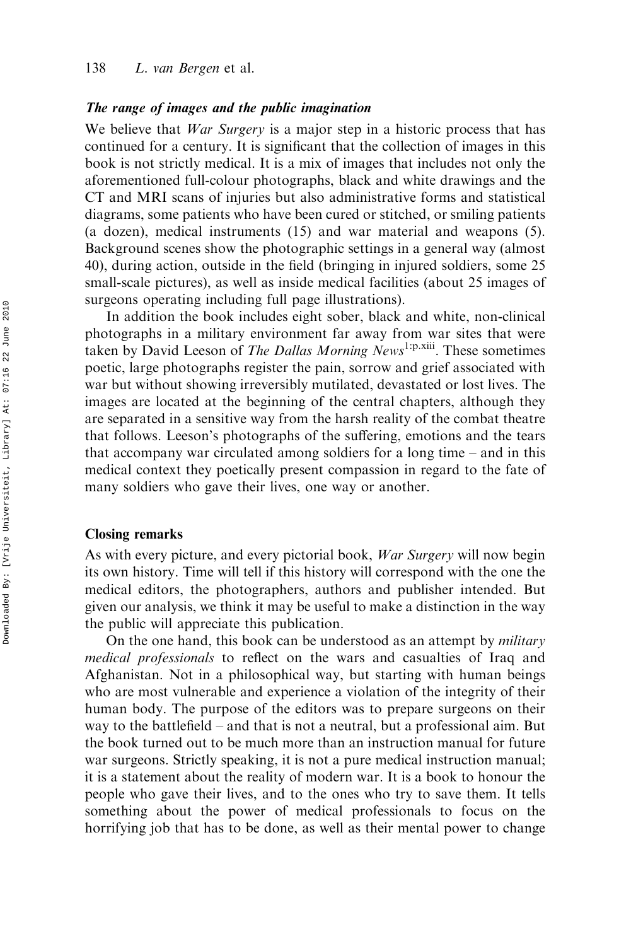#### The range of images and the public imagination

We believe that *War Surgery* is a major step in a historic process that has continued for a century. It is significant that the collection of images in this book is not strictly medical. It is a mix of images that includes not only the aforementioned full-colour photographs, black and white drawings and the CT and MRI scans of injuries but also administrative forms and statistical diagrams, some patients who have been cured or stitched, or smiling patients (a dozen), medical instruments (15) and war material and weapons (5). Background scenes show the photographic settings in a general way (almost 40), during action, outside in the field (bringing in injured soldiers, some 25 small-scale pictures), as well as inside medical facilities (about 25 images of surgeons operating including full page illustrations).

In addition the book includes eight sober, black and white, non-clinical photographs in a military environment far away from war sites that were taken by David Leeson of The Dallas Morning News<sup>1:p.xiii</sup>. These sometimes poetic, large photographs register the pain, sorrow and grief associated with war but without showing irreversibly mutilated, devastated or lost lives. The images are located at the beginning of the central chapters, although they are separated in a sensitive way from the harsh reality of the combat theatre that follows. Leeson's photographs of the suffering, emotions and the tears that accompany war circulated among soldiers for a long time – and in this medical context they poetically present compassion in regard to the fate of many soldiers who gave their lives, one way or another.

#### Closing remarks

As with every picture, and every pictorial book, War Surgery will now begin its own history. Time will tell if this history will correspond with the one the medical editors, the photographers, authors and publisher intended. But given our analysis, we think it may be useful to make a distinction in the way the public will appreciate this publication.

On the one hand, this book can be understood as an attempt by *military* medical professionals to reflect on the wars and casualties of Iraq and Afghanistan. Not in a philosophical way, but starting with human beings who are most vulnerable and experience a violation of the integrity of their human body. The purpose of the editors was to prepare surgeons on their way to the battlefield – and that is not a neutral, but a professional aim. But the book turned out to be much more than an instruction manual for future war surgeons. Strictly speaking, it is not a pure medical instruction manual; it is a statement about the reality of modern war. It is a book to honour the people who gave their lives, and to the ones who try to save them. It tells something about the power of medical professionals to focus on the horrifying job that has to be done, as well as their mental power to change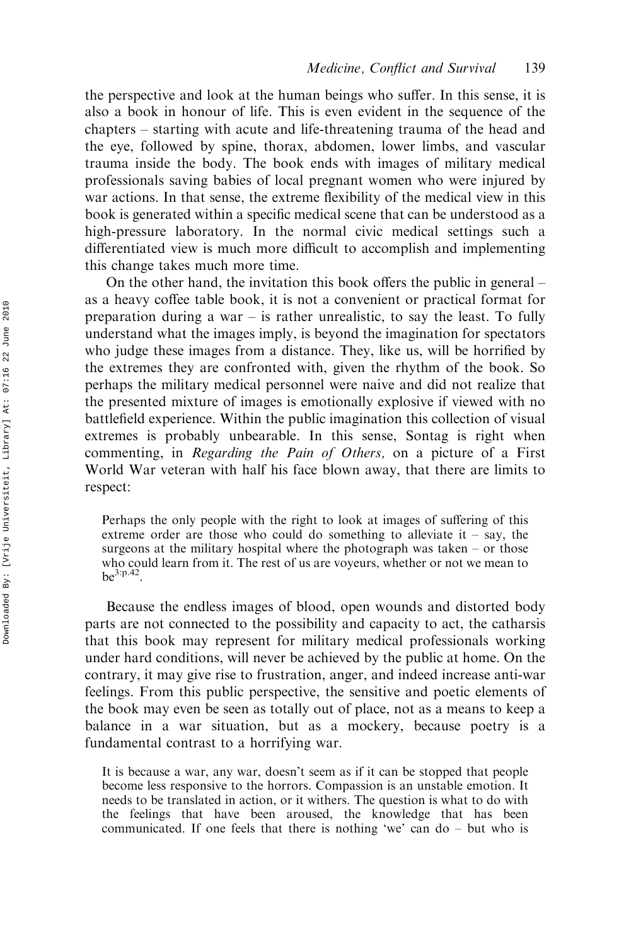the perspective and look at the human beings who suffer. In this sense, it is also a book in honour of life. This is even evident in the sequence of the chapters – starting with acute and life-threatening trauma of the head and the eye, followed by spine, thorax, abdomen, lower limbs, and vascular trauma inside the body. The book ends with images of military medical professionals saving babies of local pregnant women who were injured by war actions. In that sense, the extreme flexibility of the medical view in this book is generated within a specific medical scene that can be understood as a high-pressure laboratory. In the normal civic medical settings such a differentiated view is much more difficult to accomplish and implementing this change takes much more time.

On the other hand, the invitation this book offers the public in general – as a heavy coffee table book, it is not a convenient or practical format for preparation during a war  $-$  is rather unrealistic, to say the least. To fully understand what the images imply, is beyond the imagination for spectators who judge these images from a distance. They, like us, will be horrified by the extremes they are confronted with, given the rhythm of the book. So perhaps the military medical personnel were naive and did not realize that the presented mixture of images is emotionally explosive if viewed with no battlefield experience. Within the public imagination this collection of visual extremes is probably unbearable. In this sense, Sontag is right when commenting, in Regarding the Pain of Others, on a picture of a First World War veteran with half his face blown away, that there are limits to respect:

Perhaps the only people with the right to look at images of suffering of this extreme order are those who could do something to alleviate it – say, the surgeons at the military hospital where the photograph was taken – or those who could learn from it. The rest of us are voyeurs, whether or not we mean to  $be^{3:p.42}$ 

Because the endless images of blood, open wounds and distorted body parts are not connected to the possibility and capacity to act, the catharsis that this book may represent for military medical professionals working under hard conditions, will never be achieved by the public at home. On the contrary, it may give rise to frustration, anger, and indeed increase anti-war feelings. From this public perspective, the sensitive and poetic elements of the book may even be seen as totally out of place, not as a means to keep a balance in a war situation, but as a mockery, because poetry is a fundamental contrast to a horrifying war.

It is because a war, any war, doesn't seem as if it can be stopped that people become less responsive to the horrors. Compassion is an unstable emotion. It needs to be translated in action, or it withers. The question is what to do with the feelings that have been aroused, the knowledge that has been communicated. If one feels that there is nothing 'we' can do – but who is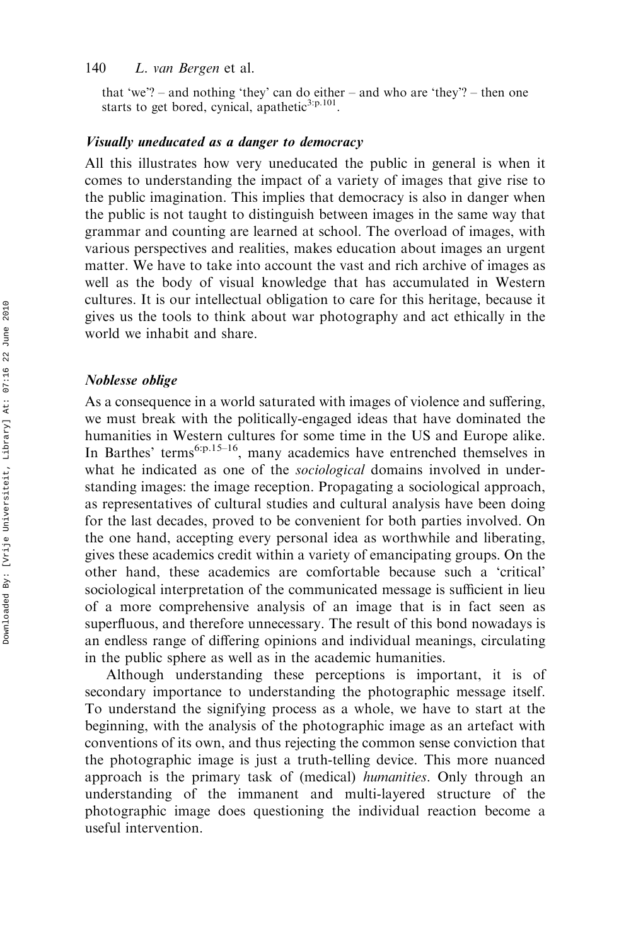#### 140 L. van Bergen et al.

that 'we'? – and nothing 'they' can do either – and who are 'they'? – then one starts to get bored, cynical, apathetic<sup>3:p.101</sup>

#### Visually uneducated as a danger to democracy

All this illustrates how very uneducated the public in general is when it comes to understanding the impact of a variety of images that give rise to the public imagination. This implies that democracy is also in danger when the public is not taught to distinguish between images in the same way that grammar and counting are learned at school. The overload of images, with various perspectives and realities, makes education about images an urgent matter. We have to take into account the vast and rich archive of images as well as the body of visual knowledge that has accumulated in Western cultures. It is our intellectual obligation to care for this heritage, because it gives us the tools to think about war photography and act ethically in the world we inhabit and share.

#### Noblesse oblige

As a consequence in a world saturated with images of violence and suffering, we must break with the politically-engaged ideas that have dominated the humanities in Western cultures for some time in the US and Europe alike. In Barthes' terms<sup>6:p.15–16</sup>, many academics have entrenched themselves in what he indicated as one of the *sociological* domains involved in understanding images: the image reception. Propagating a sociological approach, as representatives of cultural studies and cultural analysis have been doing for the last decades, proved to be convenient for both parties involved. On the one hand, accepting every personal idea as worthwhile and liberating, gives these academics credit within a variety of emancipating groups. On the other hand, these academics are comfortable because such a 'critical' sociological interpretation of the communicated message is sufficient in lieu of a more comprehensive analysis of an image that is in fact seen as superfluous, and therefore unnecessary. The result of this bond nowadays is an endless range of differing opinions and individual meanings, circulating in the public sphere as well as in the academic humanities.

Although understanding these perceptions is important, it is of secondary importance to understanding the photographic message itself. To understand the signifying process as a whole, we have to start at the beginning, with the analysis of the photographic image as an artefact with conventions of its own, and thus rejecting the common sense conviction that the photographic image is just a truth-telling device. This more nuanced approach is the primary task of (medical) humanities. Only through an understanding of the immanent and multi-layered structure of the photographic image does questioning the individual reaction become a useful intervention.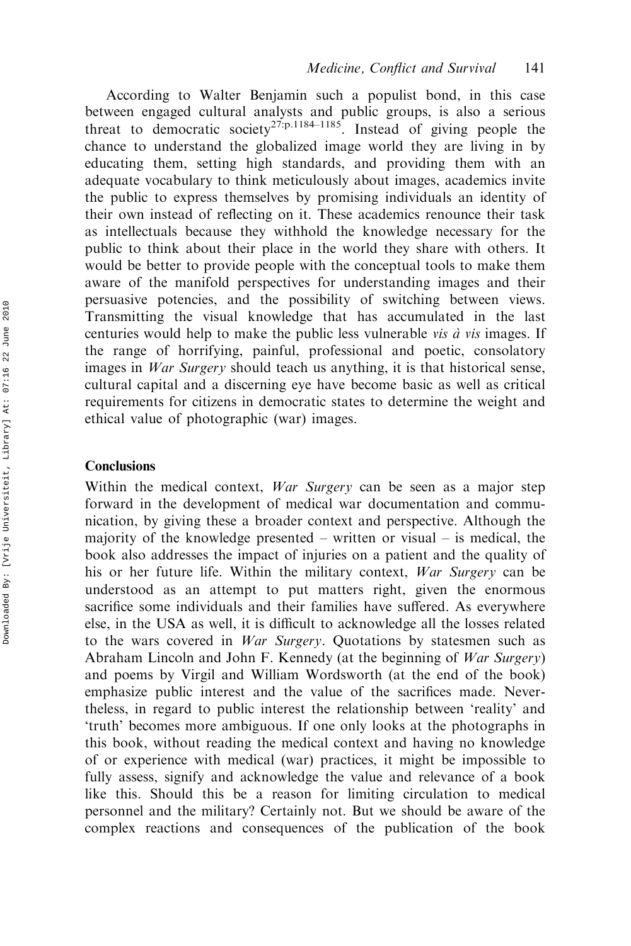According to Walter Benjamin such a populist bond, in this case between engaged cultural analysts and public groups, is also a serious threat to democratic society<sup>27.p.1184–1185</sup>. Instead of giving people the chance to understand the globalized image world they are living in by educating them, setting high standards, and providing them with an adequate vocabulary to think meticulously about images, academics invite the public to express themselves by promising individuals an identity of their own instead of reflecting on it. These academics renounce their task as intellectuals because they withhold the knowledge necessary for the public to think about their place in the world they share with others. It would be better to provide people with the conceptual tools to make them aware of the manifold perspectives for understanding images and their persuasive potencies, and the possibility of switching between views. Transmitting the visual knowledge that has accumulated in the last centuries would help to make the public less vulnerable *vis à vis* images. If the range of horrifying, painful, professional and poetic, consolatory images in *War Surgery* should teach us anything, it is that historical sense, cultural capital and a discerning eye have become basic as well as critical requirements for citizens in democratic states to determine the weight and ethical value of photographic (war) images.

#### **Conclusions**

Within the medical context, *War Surgery* can be seen as a major step forward in the development of medical war documentation and communication, by giving these a broader context and perspective. Although the majority of the knowledge presented – written or visual – is medical, the book also addresses the impact of injuries on a patient and the quality of his or her future life. Within the military context, War Surgery can be understood as an attempt to put matters right, given the enormous sacrifice some individuals and their families have suffered. As everywhere else, in the USA as well, it is difficult to acknowledge all the losses related to the wars covered in War Surgery. Quotations by statesmen such as Abraham Lincoln and John F. Kennedy (at the beginning of War Surgery) and poems by Virgil and William Wordsworth (at the end of the book) emphasize public interest and the value of the sacrifices made. Nevertheless, in regard to public interest the relationship between 'reality' and 'truth' becomes more ambiguous. If one only looks at the photographs in this book, without reading the medical context and having no knowledge of or experience with medical (war) practices, it might be impossible to fully assess, signify and acknowledge the value and relevance of a book like this. Should this be a reason for limiting circulation to medical personnel and the military? Certainly not. But we should be aware of the complex reactions and consequences of the publication of the book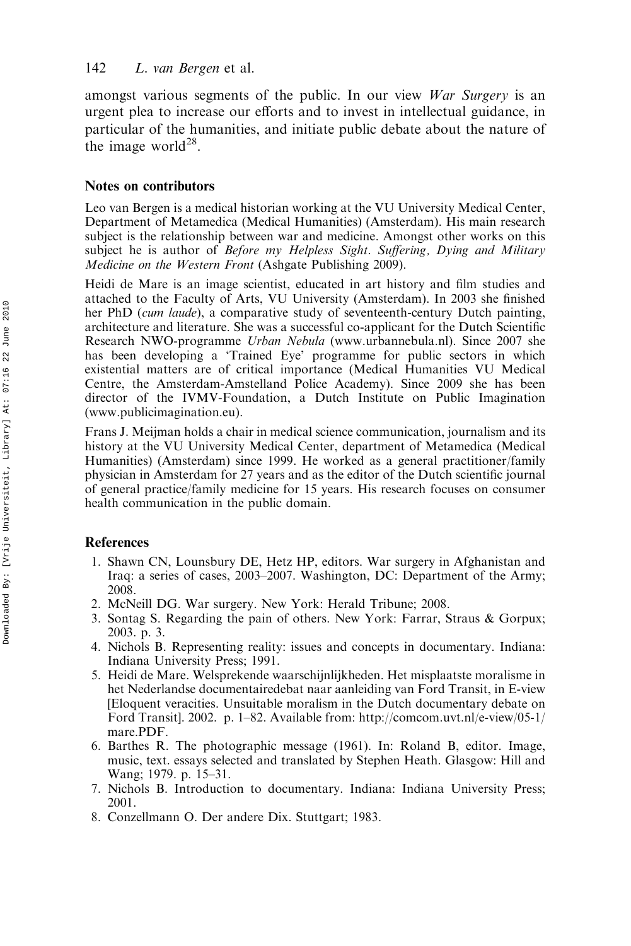amongst various segments of the public. In our view War Surgery is an urgent plea to increase our efforts and to invest in intellectual guidance, in particular of the humanities, and initiate public debate about the nature of the image world $^{28}$ .

#### Notes on contributors

Leo van Bergen is a medical historian working at the VU University Medical Center, Department of Metamedica (Medical Humanities) (Amsterdam). His main research subject is the relationship between war and medicine. Amongst other works on this subject he is author of Before my Helpless Sight. Suffering, Dying and Military Medicine on the Western Front (Ashgate Publishing 2009).

Heidi de Mare is an image scientist, educated in art history and film studies and attached to the Faculty of Arts, VU University (Amsterdam). In 2003 she finished her PhD (cum laude), a comparative study of seventeenth-century Dutch painting, architecture and literature. She was a successful co-applicant for the Dutch Scientific Research NWO-programme Urban Nebula ([www.urbannebula.nl\)](http://www.urbannebula.nl). Since 2007 she has been developing a 'Trained Eye' programme for public sectors in which existential matters are of critical importance (Medical Humanities VU Medical Centre, the Amsterdam-Amstelland Police Academy). Since 2009 she has been director of the IVMV-Foundation, a Dutch Institute on Public Imagination ([www.publicimagination.eu](http://www.publicimagination.eu)).

Frans J. Meijman holds a chair in medical science communication, journalism and its history at the VU University Medical Center, department of Metamedica (Medical Humanities) (Amsterdam) since 1999. He worked as a general practitioner/family physician in Amsterdam for 27 years and as the editor of the Dutch scientific journal of general practice/family medicine for 15 years. His research focuses on consumer health communication in the public domain.

#### References

- 1. Shawn CN, Lounsbury DE, Hetz HP, editors. War surgery in Afghanistan and Iraq: a series of cases, 2003–2007. Washington, DC: Department of the Army; 2008.
- 2. McNeill DG. War surgery. New York: Herald Tribune; 2008.
- 3. Sontag S. Regarding the pain of others. New York: Farrar, Straus & Gorpux; 2003. p. 3.
- 4. Nichols B. Representing reality: issues and concepts in documentary. Indiana: Indiana University Press; 1991.
- 5. Heidi de Mare. Welsprekende waarschijnlijkheden. Het misplaatste moralisme in het Nederlandse documentairedebat naar aanleiding van Ford Transit, in E-view [Eloquent veracities. Unsuitable moralism in the Dutch documentary debate on Ford Transit]. 2002. p. 1–82. Available from: [http://comcom.uvt.nl/e-view/05-1/](http://comcom.uvt.nl/e-view/05-1/mare.PDF) [mare.PDF.](http://comcom.uvt.nl/e-view/05-1/mare.PDF)
- 6. Barthes R. The photographic message (1961). In: Roland B, editor. Image, music, text. essays selected and translated by Stephen Heath. Glasgow: Hill and Wang; 1979. p. 15–31.
- 7. Nichols B. Introduction to documentary. Indiana: Indiana University Press; 2001.
- 8. Conzellmann O. Der andere Dix. Stuttgart; 1983.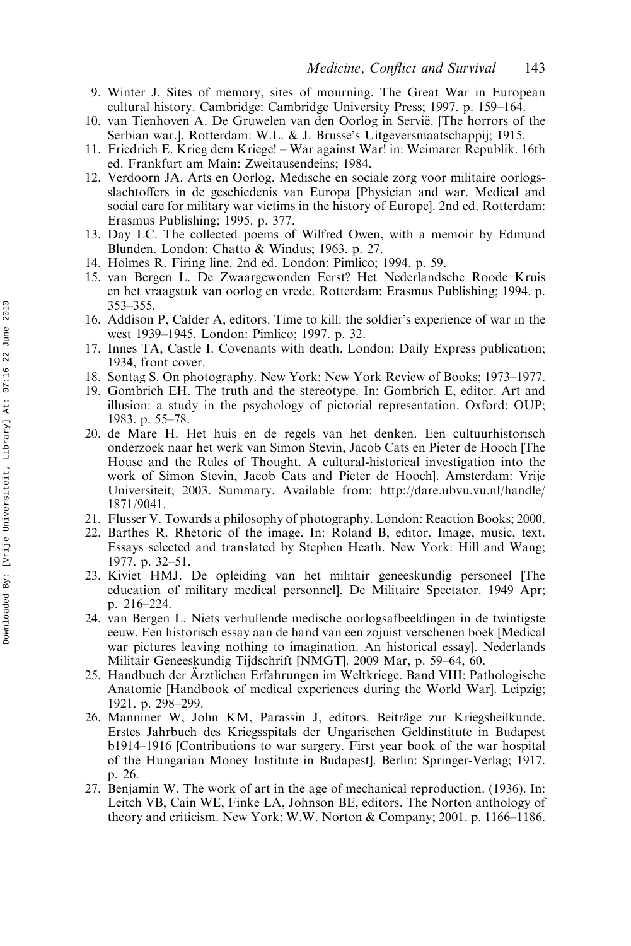- 9. Winter J. Sites of memory, sites of mourning. The Great War in European cultural history. Cambridge: Cambridge University Press; 1997. p. 159–164.
- 10. van Tienhoven A. De Gruwelen van den Oorlog in Servië. [The horrors of the Serbian war.]. Rotterdam: W.L. & J. Brusse's Uitgeversmaatschappij; 1915.
- 11. Friedrich E. Krieg dem Kriege! War against War! in: Weimarer Republik. 16th ed. Frankfurt am Main: Zweitausendeins; 1984.
- 12. Verdoorn JA. Arts en Oorlog. Medische en sociale zorg voor militaire oorlogsslachtoffers in de geschiedenis van Europa [Physician and war. Medical and social care for military war victims in the history of Europe]. 2nd ed. Rotterdam: Erasmus Publishing; 1995. p. 377.
- 13. Day LC. The collected poems of Wilfred Owen, with a memoir by Edmund Blunden. London: Chatto & Windus; 1963. p. 27.
- 14. Holmes R. Firing line. 2nd ed. London: Pimlico; 1994. p. 59.
- 15. van Bergen L. De Zwaargewonden Eerst? Het Nederlandsche Roode Kruis en het vraagstuk van oorlog en vrede. Rotterdam: Erasmus Publishing; 1994. p. 353–355.
- 16. Addison P, Calder A, editors. Time to kill: the soldier's experience of war in the west 1939–1945. London: Pimlico; 1997. p. 32.
- 17. Innes TA, Castle I. Covenants with death. London: Daily Express publication; 1934, front cover.
- 18. Sontag S. On photography. New York: New York Review of Books; 1973–1977.
- 19. Gombrich EH. The truth and the stereotype. In: Gombrich E, editor. Art and illusion: a study in the psychology of pictorial representation. Oxford: OUP; 1983. p. 55–78.
- 20. de Mare H. Het huis en de regels van het denken. Een cultuurhistorisch onderzoek naar het werk van Simon Stevin, Jacob Cats en Pieter de Hooch [The House and the Rules of Thought. A cultural-historical investigation into the work of Simon Stevin, Jacob Cats and Pieter de Hooch]. Amsterdam: Vrije Universiteit; 2003. Summary. Available from: [http://dare.ubvu.vu.nl/handle/](http://dare.ubvu.vu.nl/handle/1871/9041) [1871/9041](http://dare.ubvu.vu.nl/handle/1871/9041).
- 21. Flusser V. Towards a philosophy of photography. London: Reaction Books; 2000.
- 22. Barthes R. Rhetoric of the image. In: Roland B, editor. Image, music, text. Essays selected and translated by Stephen Heath. New York: Hill and Wang; 1977. p. 32–51.
- 23. Kiviet HMJ. De opleiding van het militair geneeskundig personeel [The education of military medical personnel]. De Militaire Spectator. 1949 Apr; p. 216–224.
- 24. van Bergen L. Niets verhullende medische oorlogsafbeeldingen in de twintigste eeuw. Een historisch essay aan de hand van een zojuist verschenen boek [Medical war pictures leaving nothing to imagination. An historical essay]. Nederlands Militair Geneeskundig Tijdschrift [NMGT]. 2009 Mar, p. 59–64, 60.
- 25. Handbuch der Arztlichen Erfahrungen im Weltkriege. Band VIII: Pathologische Anatomie [Handbook of medical experiences during the World War]. Leipzig; 1921. p. 298–299.
- 26. Manniner W, John KM, Parassin J, editors. Beiträge zur Kriegsheilkunde. Erstes Jahrbuch des Kriegsspitals der Ungarischen Geldinstitute in Budapest b1914–1916 [Contributions to war surgery. First year book of the war hospital of the Hungarian Money Institute in Budapest]. Berlin: Springer-Verlag; 1917. p. 26.
- 27. Benjamin W. The work of art in the age of mechanical reproduction. (1936). In: Leitch VB, Cain WE, Finke LA, Johnson BE, editors. The Norton anthology of theory and criticism. New York: W.W. Norton & Company; 2001. p. 1166–1186.